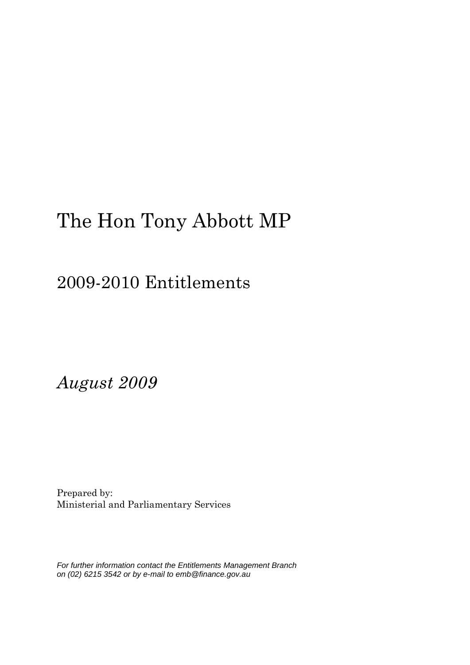## 2009-2010 Entitlements

*August 2009*

Prepared by: Ministerial and Parliamentary Services

*For further information contact the Entitlements Management Branch on (02) 6215 3542 or by e-mail to emb@finance.gov.au*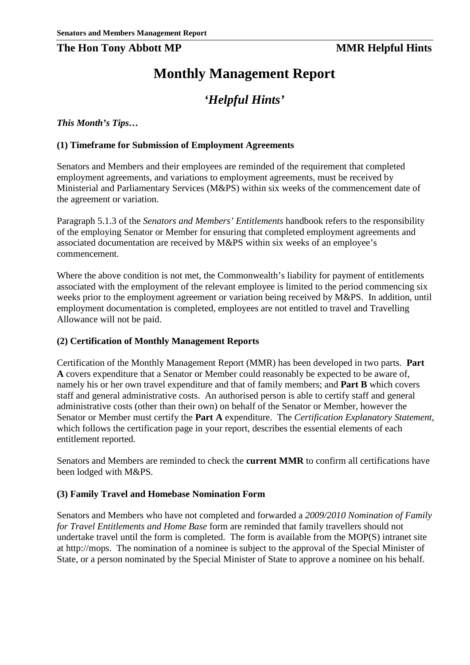### **The Hon Tony Abbott MP MMR Helpful Hints**

## **Monthly Management Report**

## *'Helpful Hints'*

*This Month's Tips…*

### **(1) Timeframe for Submission of Employment Agreements**

Senators and Members and their employees are reminded of the requirement that completed employment agreements, and variations to employment agreements, must be received by Ministerial and Parliamentary Services (M&PS) within six weeks of the commencement date of the agreement or variation.

Paragraph 5.1.3 of the *Senators and Members' Entitlements* handbook refers to the responsibility of the employing Senator or Member for ensuring that completed employment agreements and associated documentation are received by M&PS within six weeks of an employee's commencement.

Where the above condition is not met, the Commonwealth's liability for payment of entitlements associated with the employment of the relevant employee is limited to the period commencing six weeks prior to the employment agreement or variation being received by M&PS. In addition, until employment documentation is completed, employees are not entitled to travel and Travelling Allowance will not be paid.

### **(2) Certification of Monthly Management Reports**

Certification of the Monthly Management Report (MMR) has been developed in two parts. **Part A** covers expenditure that a Senator or Member could reasonably be expected to be aware of, namely his or her own travel expenditure and that of family members; and **Part B** which covers staff and general administrative costs. An authorised person is able to certify staff and general administrative costs (other than their own) on behalf of the Senator or Member, however the Senator or Member must certify the **Part A** expenditure. The *Certification Explanatory Statement*, which follows the certification page in your report, describes the essential elements of each entitlement reported.

Senators and Members are reminded to check the **current MMR** to confirm all certifications have been lodged with M&PS.

### **(3) Family Travel and Homebase Nomination Form**

Senators and Members who have not completed and forwarded a *2009/2010 Nomination of Family for Travel Entitlements and Home Base* form are reminded that family travellers should not undertake travel until the form is completed. The form is available from the MOP(S) intranet site at http://mops. The nomination of a nominee is subject to the approval of the Special Minister of State, or a person nominated by the Special Minister of State to approve a nominee on his behalf.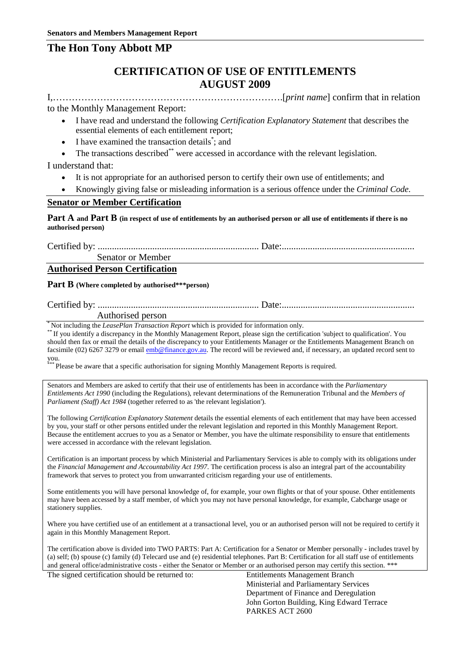## **CERTIFICATION OF USE OF ENTITLEMENTS AUGUST 2009**

I,……………………………………………………………….[*print name*] confirm that in relation

#### to the Monthly Management Report:

- I have read and understand the following *Certification Explanatory Statement* that describes the essential elements of each entitlement report;
- I have examined the transaction details<sup>\*</sup>; and
- The transactions described\*\* were accessed in accordance with the relevant legislation.

#### I understand that:

- It is not appropriate for an authorised person to certify their own use of entitlements; and
- Knowingly giving false or misleading information is a serious offence under the *Criminal Code*.

#### **Senator or Member Certification**

**Part A and Part B (in respect of use of entitlements by an authorised person or all use of entitlements if there is no authorised person)**

Certified by: .................................................................... Date:........................................................

Senator or Member

### **Authorised Person Certification**

#### **Part B (Where completed by authorised\*\*\*person)**

Certified by: .................................................................... Date:........................................................

Authorised person<br>Not including the *LeasePlan Transaction Report* which is provided for information only.

If you identify a discrepancy in the Monthly Management Report, please sign the certification 'subject to qualification'. You should then fax or email the details of the discrepancy to your Entitlements Manager or the Entitlements Management Branch on facsimile (02) 6267 3279 or email [emb@finance.gov.au.](mailto:xxx@xxxxxxx.xxx.xx) The record will be reviewed and, if necessary, an updated record sent to you.

\* Please be aware that a specific authorisation for signing Monthly Management Reports is required.

Senators and Members are asked to certify that their use of entitlements has been in accordance with the *Parliamentary Entitlements Act 1990* (including the Regulations), relevant determinations of the Remuneration Tribunal and the *Members of Parliament (Staff) Act 1984* (together referred to as 'the relevant legislation').

The following *Certification Explanatory Statement* details the essential elements of each entitlement that may have been accessed by you, your staff or other persons entitled under the relevant legislation and reported in this Monthly Management Report. Because the entitlement accrues to you as a Senator or Member, you have the ultimate responsibility to ensure that entitlements were accessed in accordance with the relevant legislation.

Certification is an important process by which Ministerial and Parliamentary Services is able to comply with its obligations under the *Financial Management and Accountability Act 1997*. The certification process is also an integral part of the accountability framework that serves to protect you from unwarranted criticism regarding your use of entitlements.

Some entitlements you will have personal knowledge of, for example, your own flights or that of your spouse. Other entitlements may have been accessed by a staff member, of which you may not have personal knowledge, for example, Cabcharge usage or stationery supplies.

Where you have certified use of an entitlement at a transactional level, you or an authorised person will not be required to certify it again in this Monthly Management Report.

The certification above is divided into TWO PARTS: Part A: Certification for a Senator or Member personally - includes travel by (a) self; (b) spouse (c) family (d) Telecard use and (e) residential telephones. Part B: Certification for all staff use of entitlements and general office/administrative costs - either the Senator or Member or an authorised person may certify this section. \*\*\*

The signed certification should be returned to: Entitlements Management Branch

Ministerial and Parliamentary Services Department of Finance and Deregulation John Gorton Building, King Edward Terrace PARKES ACT 2600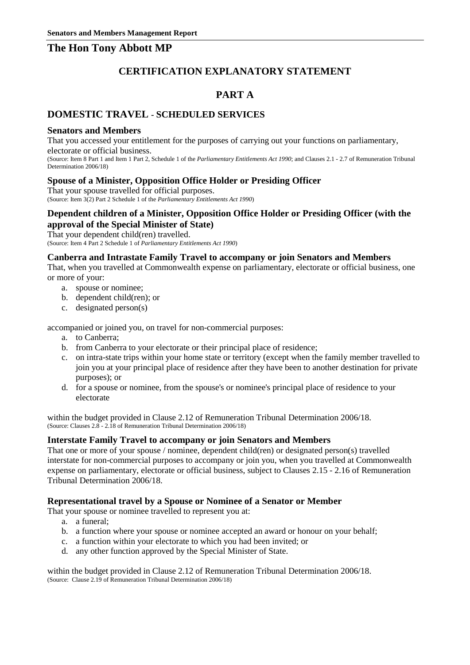## **CERTIFICATION EXPLANATORY STATEMENT**

## **PART A**

### **DOMESTIC TRAVEL - SCHEDULED SERVICES**

#### **Senators and Members**

That you accessed your entitlement for the purposes of carrying out your functions on parliamentary, electorate or official business.

(Source: Item 8 Part 1 and Item 1 Part 2, Schedule 1 of the *Parliamentary Entitlements Act 1990*; and Clauses 2.1 - 2.7 of Remuneration Tribunal Determination 2006/18)

#### **Spouse of a Minister, Opposition Office Holder or Presiding Officer**

That your spouse travelled for official purposes. (Source: Item 3(2) Part 2 Schedule 1 of the *Parliamentary Entitlements Act 1990*)

#### **Dependent children of a Minister, Opposition Office Holder or Presiding Officer (with the approval of the Special Minister of State)**

That your dependent child(ren) travelled. (Source: Item 4 Part 2 Schedule 1 of *Parliamentary Entitlements Act 1990*)

### **Canberra and Intrastate Family Travel to accompany or join Senators and Members**

That, when you travelled at Commonwealth expense on parliamentary, electorate or official business, one or more of your:

- a. spouse or nominee;
- b. dependent child(ren); or
- c. designated person(s)

accompanied or joined you, on travel for non-commercial purposes:

- a. to Canberra;
- b. from Canberra to your electorate or their principal place of residence;
- c. on intra-state trips within your home state or territory (except when the family member travelled to join you at your principal place of residence after they have been to another destination for private purposes); or
- d. for a spouse or nominee, from the spouse's or nominee's principal place of residence to your electorate

within the budget provided in Clause 2.12 of Remuneration Tribunal Determination 2006/18. (Source: Clauses 2.8 - 2.18 of Remuneration Tribunal Determination 2006/18)

#### **Interstate Family Travel to accompany or join Senators and Members**

That one or more of your spouse / nominee, dependent child(ren) or designated person(s) travelled interstate for non-commercial purposes to accompany or join you, when you travelled at Commonwealth expense on parliamentary, electorate or official business, subject to Clauses 2.15 - 2.16 of Remuneration Tribunal Determination 2006/18.

#### **Representational travel by a Spouse or Nominee of a Senator or Member**

That your spouse or nominee travelled to represent you at:

- a. a funeral;
- b. a function where your spouse or nominee accepted an award or honour on your behalf;
- c. a function within your electorate to which you had been invited; or
- d. any other function approved by the Special Minister of State.

within the budget provided in Clause 2.12 of Remuneration Tribunal Determination 2006/18. (Source: Clause 2.19 of Remuneration Tribunal Determination 2006/18)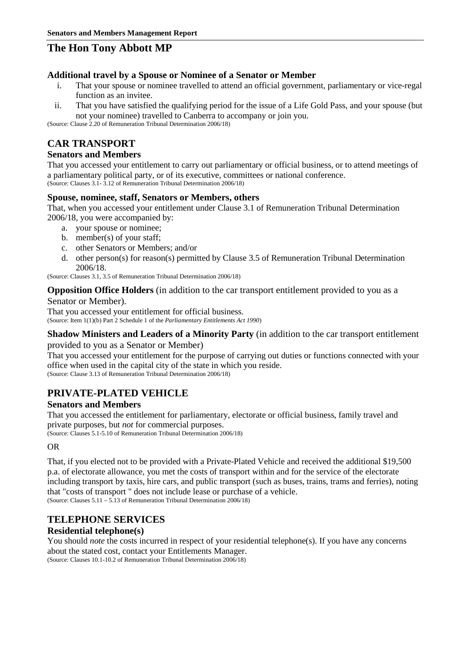#### **Additional travel by a Spouse or Nominee of a Senator or Member**

- i. That your spouse or nominee travelled to attend an official government, parliamentary or vice-regal function as an invitee.
- ii. That you have satisfied the qualifying period for the issue of a Life Gold Pass, and your spouse (but not your nominee) travelled to Canberra to accompany or join you.

(Source: Clause 2.20 of Remuneration Tribunal Determination 2006/18)

## **CAR TRANSPORT**

### **Senators and Members**

That you accessed your entitlement to carry out parliamentary or official business, or to attend meetings of a parliamentary political party, or of its executive, committees or national conference. (Source: Clauses 3.1- 3.12 of Remuneration Tribunal Determination 2006/18)

### **Spouse, nominee, staff, Senators or Members, others**

That, when you accessed your entitlement under Clause 3.1 of Remuneration Tribunal Determination 2006/18, you were accompanied by:

- a. your spouse or nominee;
- b. member(s) of your staff;
- c. other Senators or Members; and/or
- d. other person(s) for reason(s) permitted by Clause 3.5 of Remuneration Tribunal Determination 2006/18.

(Source: Clauses 3.1, 3.5 of Remuneration Tribunal Determination 2006/18)

#### **Opposition Office Holders** (in addition to the car transport entitlement provided to you as a

#### Senator or Member).

That you accessed your entitlement for official business. (Source: Item 1(1)(b) Part 2 Schedule 1 of the *Parliamentary Entitlements Act 1990*)

#### **Shadow Ministers and Leaders of a Minority Party** (in addition to the car transport entitlement provided to you as a Senator or Member)

That you accessed your entitlement for the purpose of carrying out duties or functions connected with your office when used in the capital city of the state in which you reside. (Source: Clause 3.13 of Remuneration Tribunal Determination 2006/18)

## **PRIVATE-PLATED VEHICLE**

### **Senators and Members**

That you accessed the entitlement for parliamentary, electorate or official business, family travel and private purposes, but *not* for commercial purposes.

(Source: Clauses 5.1-5.10 of Remuneration Tribunal Determination 2006/18)

#### OR

That, if you elected not to be provided with a Private-Plated Vehicle and received the additional \$19,500 p.a. of electorate allowance, you met the costs of transport within and for the service of the electorate including transport by taxis, hire cars, and public transport (such as buses, trains, trams and ferries), noting that "costs of transport " does not include lease or purchase of a vehicle. (Source: Clauses 5.11 – 5.13 of Remuneration Tribunal Determination 2006/18)

### **TELEPHONE SERVICES**

### **Residential telephone(s)**

You should *note* the costs incurred in respect of your residential telephone(s). If you have any concerns about the stated cost, contact your Entitlements Manager. (Source: Clauses 10.1-10.2 of Remuneration Tribunal Determination 2006/18)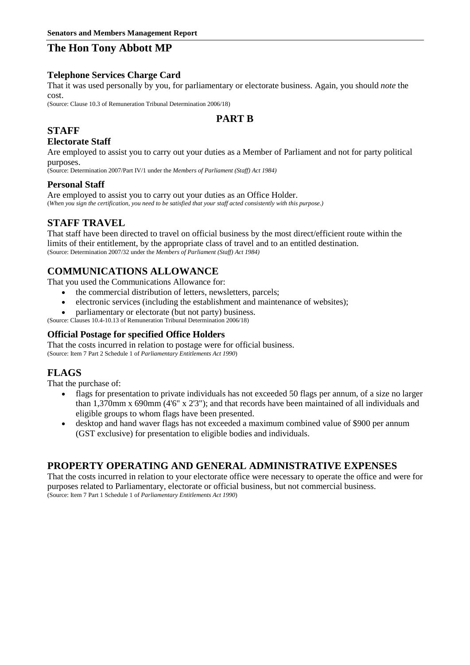#### **Telephone Services Charge Card**

That it was used personally by you, for parliamentary or electorate business. Again, you should *note* the cost.

(Source: Clause 10.3 of Remuneration Tribunal Determination 2006/18)

## **PART B**

## **STAFF**

### **Electorate Staff**

Are employed to assist you to carry out your duties as a Member of Parliament and not for party political purposes.

(Source: Determination 2007/Part IV/1 under the *Members of Parliament (Staff) Act 1984)*

### **Personal Staff**

Are employed to assist you to carry out your duties as an Office Holder. (*When you sign the certification, you need to be satisfied that your staff acted consistently with this purpose.)*

### **STAFF TRAVEL**

That staff have been directed to travel on official business by the most direct/efficient route within the limits of their entitlement, by the appropriate class of travel and to an entitled destination. (Source: Determination 2007/32 under the *Members of Parliament (Staff) Act 1984)*

## **COMMUNICATIONS ALLOWANCE**

That you used the Communications Allowance for:

- the commercial distribution of letters, newsletters, parcels;
- electronic services (including the establishment and maintenance of websites);
- parliamentary or electorate (but not party) business.

(Source: Clauses 10.4-10.13 of Remuneration Tribunal Determination 2006/18)

### **Official Postage for specified Office Holders**

That the costs incurred in relation to postage were for official business. (Source: Item 7 Part 2 Schedule 1 of *Parliamentary Entitlements Act 1990*)

## **FLAGS**

That the purchase of:

- flags for presentation to private individuals has not exceeded 50 flags per annum, of a size no larger than 1,370mm x 690mm (4'6" x 2'3"); and that records have been maintained of all individuals and eligible groups to whom flags have been presented.
- desktop and hand waver flags has not exceeded a maximum combined value of \$900 per annum (GST exclusive) for presentation to eligible bodies and individuals.

### **PROPERTY OPERATING AND GENERAL ADMINISTRATIVE EXPENSES**

That the costs incurred in relation to your electorate office were necessary to operate the office and were for purposes related to Parliamentary, electorate or official business, but not commercial business. (Source: Item 7 Part 1 Schedule 1 of *Parliamentary Entitlements Act 1990*)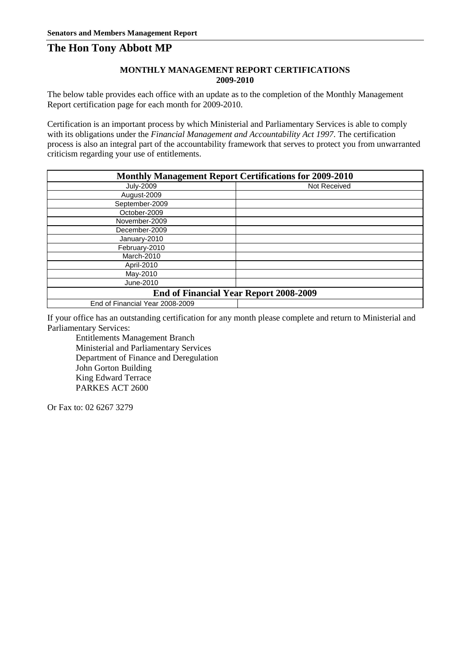#### **MONTHLY MANAGEMENT REPORT CERTIFICATIONS 2009-2010**

The below table provides each office with an update as to the completion of the Monthly Management Report certification page for each month for 2009-2010.

Certification is an important process by which Ministerial and Parliamentary Services is able to comply with its obligations under the *Financial Management and Accountability Act 1997*. The certification process is also an integral part of the accountability framework that serves to protect you from unwarranted criticism regarding your use of entitlements.

| <b>Monthly Management Report Certifications for 2009-2010</b> |              |  |  |
|---------------------------------------------------------------|--------------|--|--|
| <b>July-2009</b>                                              | Not Received |  |  |
| August-2009                                                   |              |  |  |
| September-2009                                                |              |  |  |
| October-2009                                                  |              |  |  |
| November-2009                                                 |              |  |  |
| December-2009                                                 |              |  |  |
| January-2010                                                  |              |  |  |
| February-2010                                                 |              |  |  |
| March-2010                                                    |              |  |  |
| April-2010                                                    |              |  |  |
| May-2010                                                      |              |  |  |
| June-2010                                                     |              |  |  |
| <b>End of Financial Year Report 2008-2009</b>                 |              |  |  |
| End of Financial Year 2008-2009                               |              |  |  |

If your office has an outstanding certification for any month please complete and return to Ministerial and Parliamentary Services:

Entitlements Management Branch Ministerial and Parliamentary Services Department of Finance and Deregulation John Gorton Building King Edward Terrace PARKES ACT 2600

Or Fax to: 02 6267 3279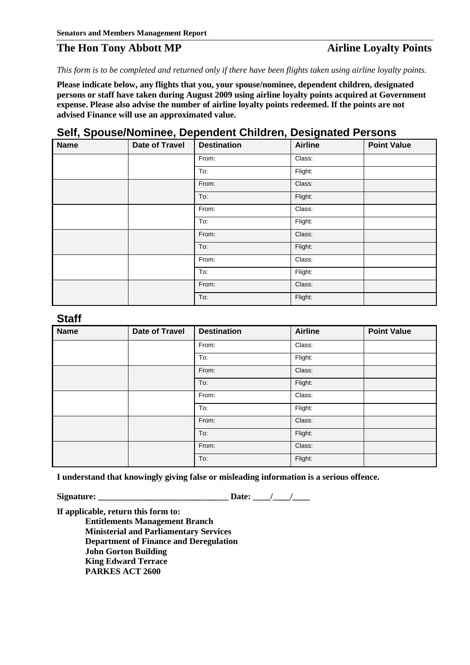## **The Hon Tony Abbott MP Airline Loyalty Points**

*This form is to be completed and returned only if there have been flights taken using airline loyalty points.*

**Please indicate below, any flights that you, your spouse/nominee, dependent children, designated persons or staff have taken during August 2009 using airline loyalty points acquired at Government expense. Please also advise the number of airline loyalty points redeemed. If the points are not advised Finance will use an approximated value.** 

## **Self, Spouse/Nominee, Dependent Children, Designated Persons**

| <b>Name</b> | <b>Date of Travel</b> | <b>Destination</b> | <b>Airline</b> | <b>Point Value</b> |
|-------------|-----------------------|--------------------|----------------|--------------------|
|             |                       | From:              | Class:         |                    |
|             |                       | To:                | Flight:        |                    |
|             |                       | From:              | Class:         |                    |
|             |                       | To:                | Flight:        |                    |
|             |                       | From:              | Class:         |                    |
|             |                       | To:                | Flight:        |                    |
|             |                       | From:              | Class:         |                    |
|             |                       | To:                | Flight:        |                    |
|             |                       | From:              | Class:         |                    |
|             |                       | To:                | Flight:        |                    |
|             |                       | From:              | Class:         |                    |
|             |                       | To:                | Flight:        |                    |

**Staff**

| ----        |                       |                    |                |                    |
|-------------|-----------------------|--------------------|----------------|--------------------|
| <b>Name</b> | <b>Date of Travel</b> | <b>Destination</b> | <b>Airline</b> | <b>Point Value</b> |
|             |                       | From:              | Class:         |                    |
|             |                       | To:                | Flight:        |                    |
|             |                       | From:              | Class:         |                    |
|             |                       | To:                | Flight:        |                    |
|             |                       | From:              | Class:         |                    |
|             |                       | To:                | Flight:        |                    |
|             |                       | From:              | Class:         |                    |
|             |                       | To:                | Flight:        |                    |
|             |                       | From:              | Class:         |                    |
|             |                       | To:                | Flight:        |                    |

**I understand that knowingly giving false or misleading information is a serious offence.**

**Signature: \_\_\_\_\_\_\_\_\_\_\_\_\_\_\_\_\_\_\_\_\_\_\_\_\_\_\_\_\_\_ Date: \_\_\_\_/\_\_\_\_/\_\_\_\_**

**If applicable, return this form to: Entitlements Management Branch Ministerial and Parliamentary Services Department of Finance and Deregulation John Gorton Building King Edward Terrace PARKES ACT 2600**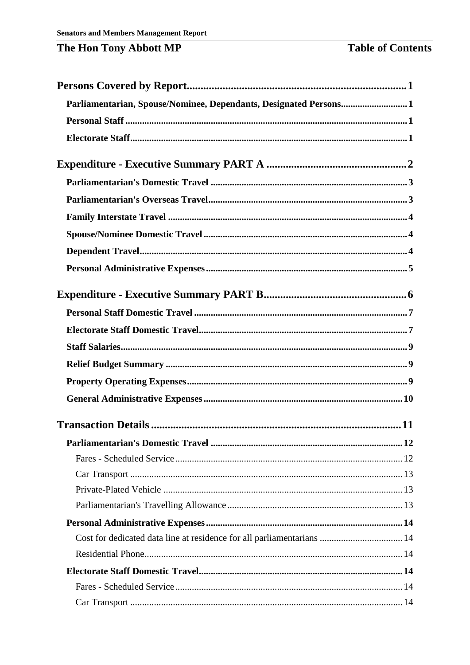| Parliamentarian, Spouse/Nominee, Dependants, Designated Persons1       |  |
|------------------------------------------------------------------------|--|
|                                                                        |  |
|                                                                        |  |
|                                                                        |  |
|                                                                        |  |
|                                                                        |  |
|                                                                        |  |
|                                                                        |  |
|                                                                        |  |
|                                                                        |  |
|                                                                        |  |
|                                                                        |  |
|                                                                        |  |
|                                                                        |  |
|                                                                        |  |
|                                                                        |  |
|                                                                        |  |
|                                                                        |  |
|                                                                        |  |
|                                                                        |  |
|                                                                        |  |
|                                                                        |  |
|                                                                        |  |
|                                                                        |  |
|                                                                        |  |
| Cost for dedicated data line at residence for all parliamentarians  14 |  |
|                                                                        |  |
|                                                                        |  |
|                                                                        |  |
|                                                                        |  |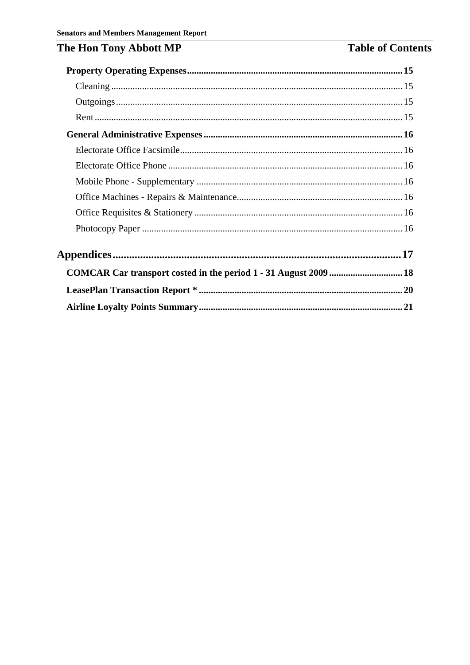## **Table of Contents**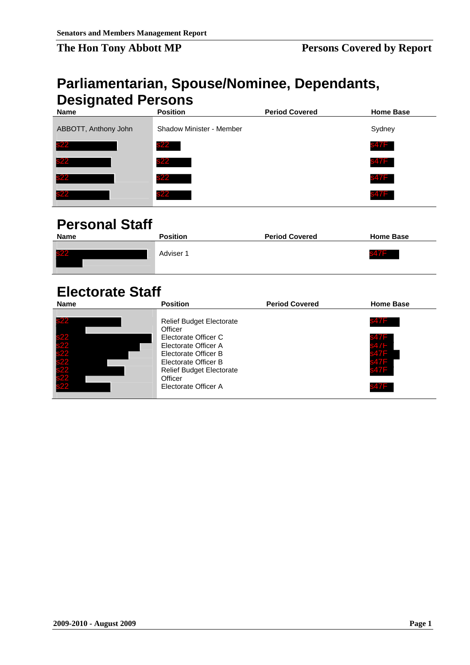## <span id="page-10-1"></span><span id="page-10-0"></span>**Parliamentarian, Spouse/Nominee, Dependants, Designated Persons**

| – – – – <u>–</u> – – – – –<br><b>Name</b> | <b>Position</b>                 | <b>Period Covered</b> | <b>Home Base</b> |
|-------------------------------------------|---------------------------------|-----------------------|------------------|
| ABBOTT, Anthony John                      | <b>Shadow Minister - Member</b> |                       | Sydney           |
| s22                                       | <b>s22</b>                      |                       | s47F             |
| s22                                       | s22                             |                       | <b>s47F</b>      |
| <b>s22</b>                                | <b>s22</b>                      |                       | s47F             |
| <b>s22</b>                                | <b>s22</b>                      |                       | s47F             |

## <span id="page-10-2"></span>**Personal Staff**

| <b>Name</b> | <b>Position</b> | <b>Period Covered</b> | <b>Home Base</b> |
|-------------|-----------------|-----------------------|------------------|
| s22         | Adviser 1       |                       | - 47<br>547 I    |

## <span id="page-10-3"></span>**Electorate Staff**

| s22                                    | s22                                                                                          |                       | 847F             |
|----------------------------------------|----------------------------------------------------------------------------------------------|-----------------------|------------------|
|                                        | <b>s22</b>                                                                                   |                       | 847F             |
| <b>s22</b>                             | <b>s22</b>                                                                                   |                       | 847F             |
| s22                                    | <b>s22</b>                                                                                   |                       | 847F             |
| <b>Personal Staff</b><br><b>Name</b>   | <b>Position</b>                                                                              | <b>Period Covered</b> | <b>Home Base</b> |
| s22                                    | Adviser 1                                                                                    |                       | s47F             |
| <b>Electorate Staff</b>                |                                                                                              |                       |                  |
| <b>Name</b>                            | <b>Position</b>                                                                              | <b>Period Covered</b> | <b>Home Base</b> |
| <u>s22</u>                             | Relief Budget Electorate<br>Officer                                                          |                       | 847F             |
| s22<br>s22<br>s22<br>s22<br>s22<br>s22 | Electorate Officer C<br>Electorate Officer A<br>Electorate Officer B<br>Electorate Officer B |                       |                  |
|                                        | Relief Budget Electorate                                                                     |                       |                  |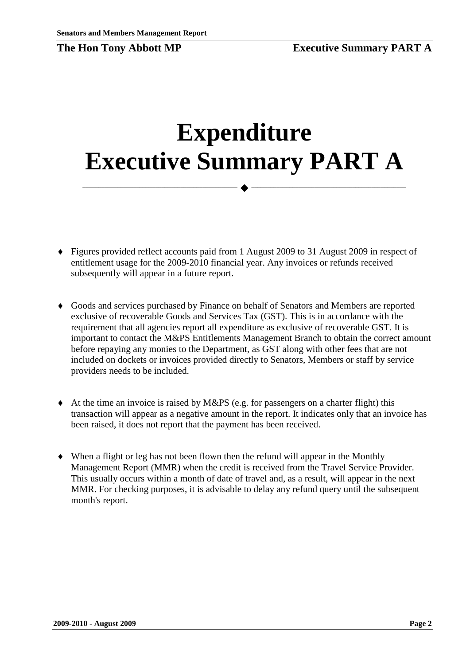<span id="page-11-0"></span>

# **Expenditure Executive Summary PART A**

 $\longrightarrow \hspace*{2em} \longrightarrow \longrightarrow \longrightarrow \longrightarrow \longrightarrow \longrightarrow$ 

- ♦ Figures provided reflect accounts paid from 1 August 2009 to 31 August 2009 in respect of entitlement usage for the 2009-2010 financial year. Any invoices or refunds received subsequently will appear in a future report.
- ♦ Goods and services purchased by Finance on behalf of Senators and Members are reported exclusive of recoverable Goods and Services Tax (GST). This is in accordance with the requirement that all agencies report all expenditure as exclusive of recoverable GST. It is important to contact the M&PS Entitlements Management Branch to obtain the correct amount before repaying any monies to the Department, as GST along with other fees that are not included on dockets or invoices provided directly to Senators, Members or staff by service providers needs to be included.
- $\blacklozenge$  At the time an invoice is raised by M&PS (e.g. for passengers on a charter flight) this transaction will appear as a negative amount in the report. It indicates only that an invoice has been raised, it does not report that the payment has been received.
- ♦ When a flight or leg has not been flown then the refund will appear in the Monthly Management Report (MMR) when the credit is received from the Travel Service Provider. This usually occurs within a month of date of travel and, as a result, will appear in the next MMR. For checking purposes, it is advisable to delay any refund query until the subsequent month's report.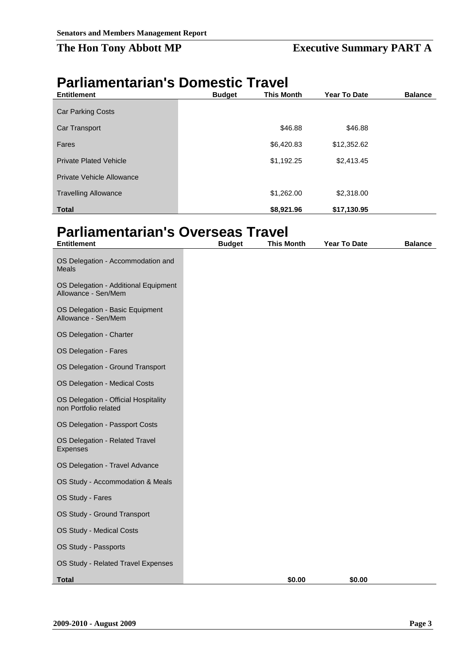## **The Hon Tony Abbott MP Executive Summary PART A**

## <span id="page-12-0"></span>**Parliamentarian's Domestic Travel**

| <b>Entitlement</b>            | <b>Budget</b> | <b>This Month</b> | <b>Year To Date</b> | <b>Balance</b> |
|-------------------------------|---------------|-------------------|---------------------|----------------|
| <b>Car Parking Costs</b>      |               |                   |                     |                |
| Car Transport                 |               | \$46.88           | \$46.88             |                |
| Fares                         |               | \$6,420.83        | \$12,352.62         |                |
| <b>Private Plated Vehicle</b> |               | \$1,192.25        | \$2,413.45          |                |
| Private Vehicle Allowance     |               |                   |                     |                |
| <b>Travelling Allowance</b>   |               | \$1,262.00        | \$2,318.00          |                |
| <b>Total</b>                  |               | \$8,921.96        | \$17,130.95         |                |

## <span id="page-12-1"></span>**Parliamentarian's Overseas Travel**

| <b>Entitlement</b>                                            | <b>Budget</b> | This Month | <b>Year To Date</b> | <b>Balance</b> |
|---------------------------------------------------------------|---------------|------------|---------------------|----------------|
| OS Delegation - Accommodation and<br><b>Meals</b>             |               |            |                     |                |
| OS Delegation - Additional Equipment<br>Allowance - Sen/Mem   |               |            |                     |                |
| OS Delegation - Basic Equipment<br>Allowance - Sen/Mem        |               |            |                     |                |
| OS Delegation - Charter                                       |               |            |                     |                |
| OS Delegation - Fares                                         |               |            |                     |                |
| OS Delegation - Ground Transport                              |               |            |                     |                |
| OS Delegation - Medical Costs                                 |               |            |                     |                |
| OS Delegation - Official Hospitality<br>non Portfolio related |               |            |                     |                |
| OS Delegation - Passport Costs                                |               |            |                     |                |
| OS Delegation - Related Travel<br>Expenses                    |               |            |                     |                |
| OS Delegation - Travel Advance                                |               |            |                     |                |
| OS Study - Accommodation & Meals                              |               |            |                     |                |
| OS Study - Fares                                              |               |            |                     |                |
| OS Study - Ground Transport                                   |               |            |                     |                |
| OS Study - Medical Costs                                      |               |            |                     |                |
| OS Study - Passports                                          |               |            |                     |                |
| OS Study - Related Travel Expenses                            |               |            |                     |                |
| <b>Total</b>                                                  |               | \$0.00     | \$0.00              |                |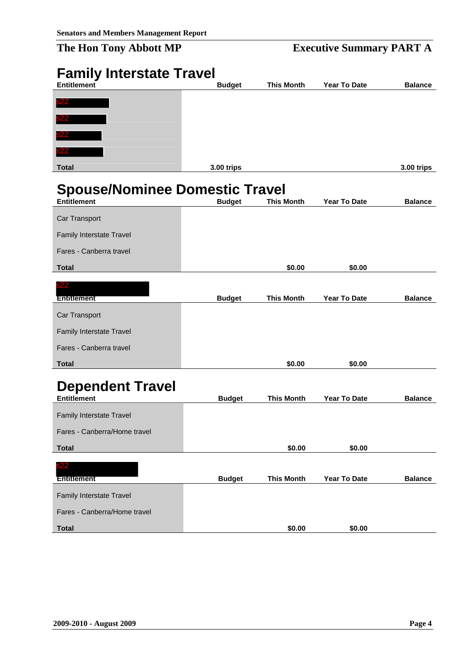## **The Hon Tony Abbott MP** Executive Summary PART A

<span id="page-13-2"></span><span id="page-13-1"></span><span id="page-13-0"></span>

| <b>Family Interstate Travel</b>       |               |                   |              |                |
|---------------------------------------|---------------|-------------------|--------------|----------------|
| <b>Entitlement</b>                    | <b>Budget</b> | <b>This Month</b> | Year To Date | <b>Balance</b> |
| 822                                   |               |                   |              |                |
|                                       |               |                   |              |                |
|                                       |               |                   |              |                |
|                                       |               |                   |              |                |
| <b>Total</b>                          | 3.00 trips    |                   |              | 3.00 trips     |
|                                       |               |                   |              |                |
| <b>Spouse/Nominee Domestic Travel</b> |               |                   |              |                |
| <b>Entitlement</b>                    | <b>Budget</b> | <b>This Month</b> | Year To Date | <b>Balance</b> |
| Car Transport                         |               |                   |              |                |
| Family Interstate Travel              |               |                   |              |                |
| Fares - Canberra travel               |               |                   |              |                |
| <b>Total</b>                          |               | \$0.00            | \$0.00       |                |
| 22                                    |               |                   |              |                |
| <b>Entitlement</b>                    | <b>Budget</b> | <b>This Month</b> | Year To Date | <b>Balance</b> |
| Car Transport                         |               |                   |              |                |
| Family Interstate Travel              |               |                   |              |                |
| Fares - Canberra travel               |               |                   |              |                |
| <b>Total</b>                          |               | \$0.00            | \$0.00       |                |
|                                       |               |                   |              |                |
| <b>Dependent Travel</b>               |               |                   |              |                |
| <b>Entitlement</b>                    | <b>Budget</b> | <b>This Month</b> | Year To Date | <b>Balance</b> |
| Family Interstate Travel              |               |                   |              |                |
| Fares - Canberra/Home travel          |               |                   |              |                |
| <b>Total</b>                          |               | \$0.00            | \$0.00       |                |
| 22                                    |               |                   |              |                |
| <b>Entitlement</b>                    | <b>Budget</b> | <b>This Month</b> | Year To Date | <b>Balance</b> |
| Family Interstate Travel              |               |                   |              |                |
| Fares - Canberra/Home travel          |               |                   |              |                |
| <b>Total</b>                          |               | \$0.00            | \$0.00       |                |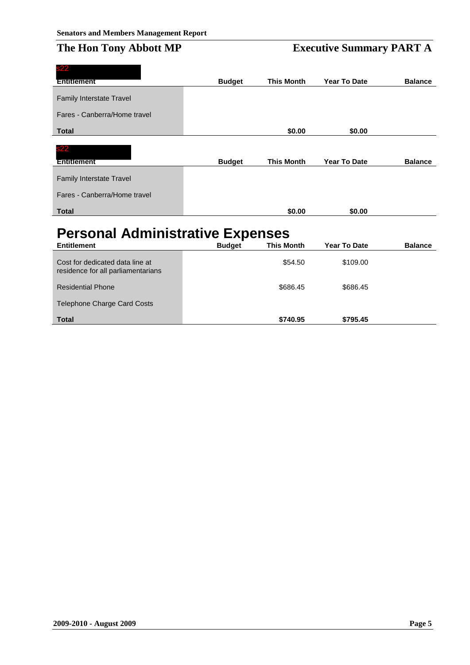| s22                                     |               |                   |                     |                |
|-----------------------------------------|---------------|-------------------|---------------------|----------------|
| Entitlement                             | <b>Budget</b> | <b>This Month</b> | <b>Year To Date</b> | <b>Balance</b> |
| Family Interstate Travel                |               |                   |                     |                |
| Fares - Canberra/Home travel            |               |                   |                     |                |
| <b>Total</b>                            |               | \$0.00            | \$0.00              |                |
| s22                                     |               |                   |                     |                |
| Entitlement                             | <b>Budget</b> | <b>This Month</b> | Year To Date        | <b>Balance</b> |
| <b>Family Interstate Travel</b>         |               |                   |                     |                |
| Fares - Canberra/Home travel            |               |                   |                     |                |
| <b>Total</b>                            |               | \$0.00            | \$0.00              |                |
| <b>Personal Administrative Expenses</b> |               |                   |                     |                |
| <b>Entitlement</b>                      | <b>Budget</b> | <b>This Month</b> | <b>Year To Date</b> | <b>Balance</b> |
| the anil eteh hategihah tan. Contract   |               | \$54.50           | \$109.00            |                |

<span id="page-14-0"></span>

| Cost for dedicated data line at<br>residence for all parliamentarians | \$54.50  | \$109.00 |
|-----------------------------------------------------------------------|----------|----------|
| <b>Residential Phone</b>                                              | \$686.45 | \$686.45 |
| Telephone Charge Card Costs                                           |          |          |
| <b>Total</b>                                                          | \$740.95 | \$795.45 |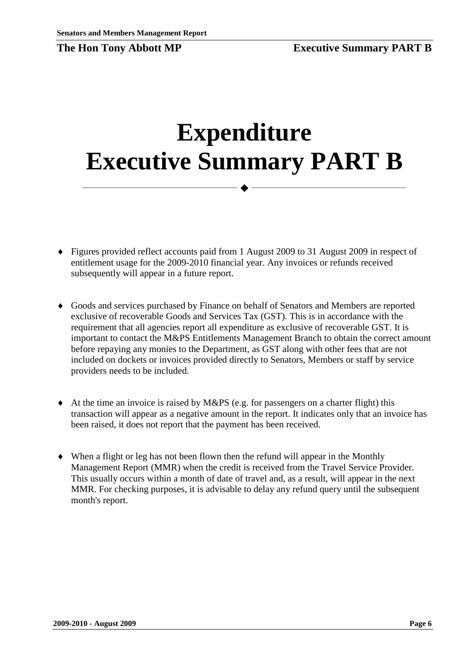<span id="page-15-0"></span>

# **Expenditure Executive Summary PART B**

 $\longrightarrow \hspace*{2em} \longrightarrow \longrightarrow \longrightarrow \longrightarrow \longrightarrow \longrightarrow$ 

- ♦ Figures provided reflect accounts paid from 1 August 2009 to 31 August 2009 in respect of entitlement usage for the 2009-2010 financial year. Any invoices or refunds received subsequently will appear in a future report.
- ♦ Goods and services purchased by Finance on behalf of Senators and Members are reported exclusive of recoverable Goods and Services Tax (GST). This is in accordance with the requirement that all agencies report all expenditure as exclusive of recoverable GST. It is important to contact the M&PS Entitlements Management Branch to obtain the correct amount before repaying any monies to the Department, as GST along with other fees that are not included on dockets or invoices provided directly to Senators, Members or staff by service providers needs to be included.
- $\blacklozenge$  At the time an invoice is raised by M&PS (e.g. for passengers on a charter flight) this transaction will appear as a negative amount in the report. It indicates only that an invoice has been raised, it does not report that the payment has been received.
- ♦ When a flight or leg has not been flown then the refund will appear in the Monthly Management Report (MMR) when the credit is received from the Travel Service Provider. This usually occurs within a month of date of travel and, as a result, will appear in the next MMR. For checking purposes, it is advisable to delay any refund query until the subsequent month's report.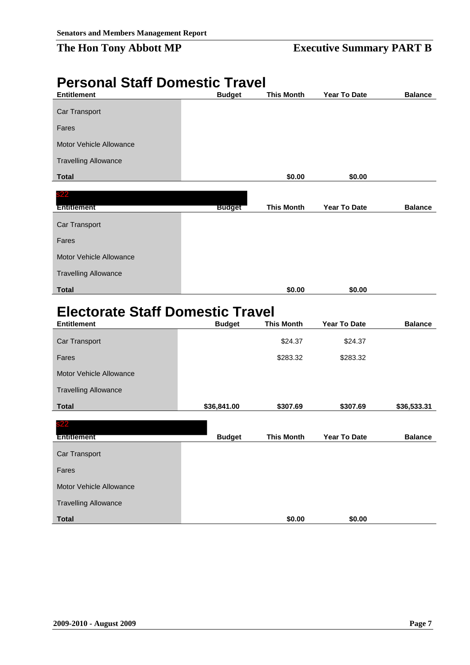## **The Hon Tony Abbott MP Executive Summary PART B**

## <span id="page-16-0"></span>**Personal Staff Domestic Travel**

| <b>Entitlement</b>          | <b>Budget</b> | <b>This Month</b> | Year To Date | <b>Balance</b> |
|-----------------------------|---------------|-------------------|--------------|----------------|
| Car Transport               |               |                   |              |                |
| Fares                       |               |                   |              |                |
| Motor Vehicle Allowance     |               |                   |              |                |
| <b>Travelling Allowance</b> |               |                   |              |                |
|                             |               |                   |              |                |
| <b>Total</b>                |               | \$0.00            | \$0.00       |                |
| s22                         |               |                   |              |                |
| <b>Entitlement</b>          | <b>Budget</b> | <b>This Month</b> | Year To Date | <b>Balance</b> |
| Car Transport               |               |                   |              |                |
| Fares                       |               |                   |              |                |
| Motor Vehicle Allowance     |               |                   |              |                |
| <b>Travelling Allowance</b> |               |                   |              |                |
| <b>Total</b>                |               | \$0.00            | \$0.00       |                |

## <span id="page-16-1"></span>**Electorate Staff Domestic Travel**

| <b>Entitlement</b>          | <b>Budget</b> | <b>This Month</b> | Year To Date | <b>Balance</b> |
|-----------------------------|---------------|-------------------|--------------|----------------|
| Car Transport               |               | \$24.37           | \$24.37      |                |
| Fares                       |               | \$283.32          | \$283.32     |                |
| Motor Vehicle Allowance     |               |                   |              |                |
| <b>Travelling Allowance</b> |               |                   |              |                |
| <b>Total</b>                | \$36,841.00   | \$307.69          | \$307.69     | \$36,533.31    |
| s22<br><b>Entitlement</b>   | <b>Budget</b> | <b>This Month</b> | Year To Date | <b>Balance</b> |
| Car Transport               |               |                   |              |                |
| Fares                       |               |                   |              |                |
| Motor Vehicle Allowance     |               |                   |              |                |
| <b>Travelling Allowance</b> |               |                   |              |                |
| <b>Total</b>                |               | \$0.00            | \$0.00       |                |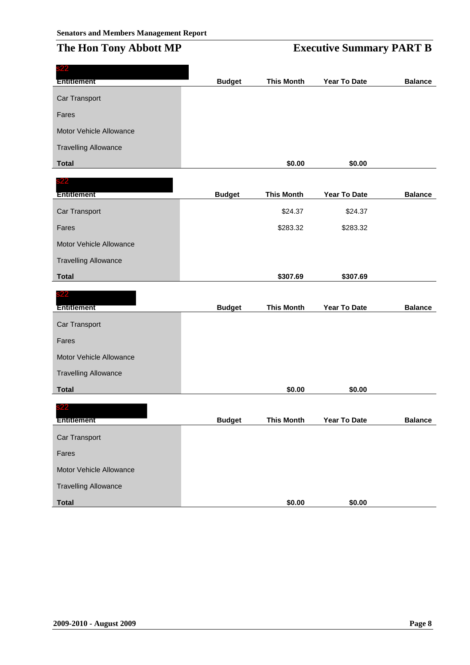## **The Hon Tony Abbott MP B EXECUTIVE SUMP B**

|  | <b>Executive Summary PART B</b> |  |  |
|--|---------------------------------|--|--|
|--|---------------------------------|--|--|

| 522                         |               |                   |              |                |
|-----------------------------|---------------|-------------------|--------------|----------------|
| <b>Entitlement</b>          | <b>Budget</b> | <b>This Month</b> | Year To Date | <b>Balance</b> |
| Car Transport               |               |                   |              |                |
| Fares                       |               |                   |              |                |
| Motor Vehicle Allowance     |               |                   |              |                |
| <b>Travelling Allowance</b> |               |                   |              |                |
| <b>Total</b>                |               | \$0.00            | \$0.00       |                |
| <b>s22</b>                  |               |                   |              |                |
| <b>Entitlement</b>          | <b>Budget</b> | <b>This Month</b> | Year To Date | <b>Balance</b> |
| Car Transport               |               | \$24.37           | \$24.37      |                |
| Fares                       |               | \$283.32          | \$283.32     |                |
| Motor Vehicle Allowance     |               |                   |              |                |
| <b>Travelling Allowance</b> |               |                   |              |                |
| <b>Total</b>                |               | \$307.69          | \$307.69     |                |
| 322                         |               |                   |              |                |
| <b>Entitlement</b>          | <b>Budget</b> | <b>This Month</b> | Year To Date | <b>Balance</b> |
| Car Transport               |               |                   |              |                |
| Fares                       |               |                   |              |                |
| Motor Vehicle Allowance     |               |                   |              |                |
| <b>Travelling Allowance</b> |               |                   |              |                |
| <b>Total</b>                |               | \$0.00            | \$0.00       |                |
| 22                          |               |                   |              |                |
| <b>Entitlement</b>          | <b>Budget</b> | <b>This Month</b> | Year To Date | <b>Balance</b> |
| Car Transport               |               |                   |              |                |
| Fares                       |               |                   |              |                |
|                             |               |                   |              |                |
| Motor Vehicle Allowance     |               |                   |              |                |
| <b>Travelling Allowance</b> |               |                   |              |                |
| <b>Total</b>                |               | \$0.00            | \$0.00       |                |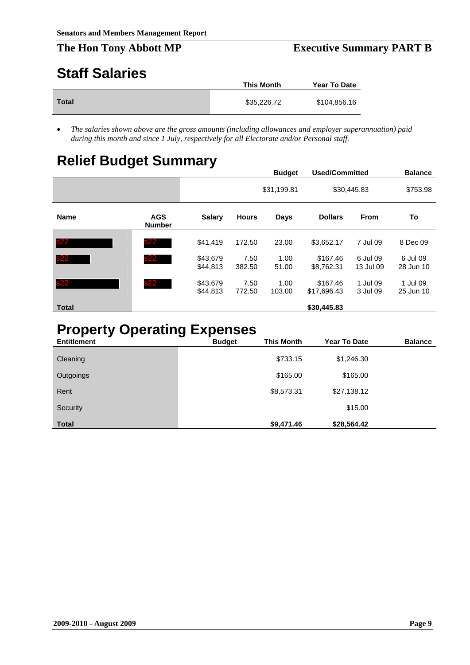## <span id="page-18-0"></span>**Staff Salaries**

|              | This Month  | <b>Year To Date</b> |
|--------------|-------------|---------------------|
| <b>Total</b> | \$35,226.72 | \$104,856.16        |

• *The salaries shown above are the gross amounts (including allowances and employer superannuation) paid during this month and since 1 July, respectively for all Electorate and/or Personal staff.*

## <span id="page-18-1"></span>**Relief Budget Summary**

|              |                             |                      |                | <b>Budget</b>  | <b>Used/Committed</b>   |                       | <b>Balance</b>        |
|--------------|-----------------------------|----------------------|----------------|----------------|-------------------------|-----------------------|-----------------------|
|              |                             |                      |                | \$31,199.81    |                         | \$30,445.83           | \$753.98              |
| <b>Name</b>  | <b>AGS</b><br><b>Number</b> | <b>Salary</b>        | <b>Hours</b>   | Days           | <b>Dollars</b>          | <b>From</b>           | To                    |
| s22          | s22                         | \$41,419             | 172.50         | 23.00          | \$3,652.17              | 7 Jul 09              | 8 Dec 09              |
| s22          | <b>s22</b>                  | \$43,679<br>\$44,813 | 7.50<br>382.50 | 1.00<br>51.00  | \$167.46<br>\$8,762.31  | 6 Jul 09<br>13 Jul 09 | 6 Jul 09<br>28 Jun 10 |
| s22          | <b>s22</b>                  | \$43,679<br>\$44,813 | 7.50<br>772.50 | 1.00<br>103.00 | \$167.46<br>\$17,696.43 | 1 Jul 09<br>3 Jul 09  | 1 Jul 09<br>25 Jun 10 |
| <b>Total</b> |                             |                      |                |                | \$30,445.83             |                       |                       |

## <span id="page-18-2"></span>**Property Operating Expenses**

| <b>Entitlement</b> | <b>Budget</b> | <b>This Month</b> | <b>Year To Date</b> | <b>Balance</b> |
|--------------------|---------------|-------------------|---------------------|----------------|
| Cleaning           |               | \$733.15          | \$1,246.30          |                |
| Outgoings          |               | \$165.00          | \$165.00            |                |
| Rent               |               | \$8,573.31        | \$27,138.12         |                |
| Security           |               |                   | \$15.00             |                |
| <b>Total</b>       |               | \$9,471.46        | \$28,564.42         |                |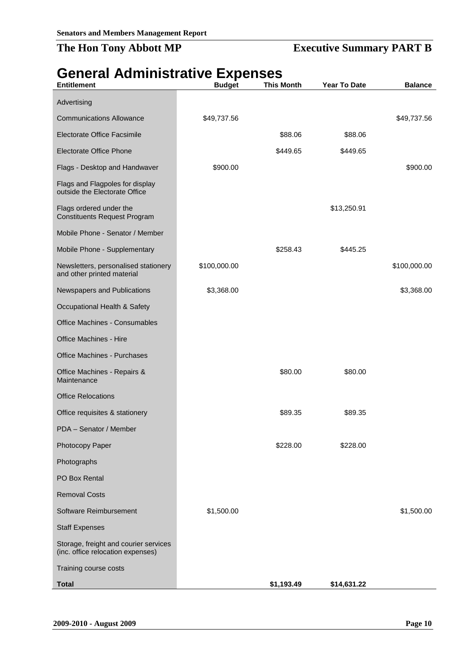## **The Hon Tony Abbott MP Executive Summary PART B**

## <span id="page-19-0"></span>**General Administrative Expenses**

| <b>Entitlement</b>                                                         | <b>Budget</b> | <b>This Month</b> | <b>Year To Date</b> | <b>Balance</b> |
|----------------------------------------------------------------------------|---------------|-------------------|---------------------|----------------|
| Advertising                                                                |               |                   |                     |                |
| <b>Communications Allowance</b>                                            | \$49,737.56   |                   |                     | \$49,737.56    |
| Electorate Office Facsimile                                                |               | \$88.06           | \$88.06             |                |
| <b>Electorate Office Phone</b>                                             |               | \$449.65          | \$449.65            |                |
| Flags - Desktop and Handwaver                                              | \$900.00      |                   |                     | \$900.00       |
| Flags and Flagpoles for display<br>outside the Electorate Office           |               |                   |                     |                |
| Flags ordered under the<br><b>Constituents Request Program</b>             |               |                   | \$13,250.91         |                |
| Mobile Phone - Senator / Member                                            |               |                   |                     |                |
| Mobile Phone - Supplementary                                               |               | \$258.43          | \$445.25            |                |
| Newsletters, personalised stationery<br>and other printed material         | \$100,000.00  |                   |                     | \$100,000.00   |
| Newspapers and Publications                                                | \$3,368.00    |                   |                     | \$3,368.00     |
| Occupational Health & Safety                                               |               |                   |                     |                |
| Office Machines - Consumables                                              |               |                   |                     |                |
| Office Machines - Hire                                                     |               |                   |                     |                |
| <b>Office Machines - Purchases</b>                                         |               |                   |                     |                |
| Office Machines - Repairs &<br>Maintenance                                 |               | \$80.00           | \$80.00             |                |
| <b>Office Relocations</b>                                                  |               |                   |                     |                |
| Office requisites & stationery                                             |               | \$89.35           | \$89.35             |                |
| PDA - Senator / Member                                                     |               |                   |                     |                |
| Photocopy Paper                                                            |               | \$228.00          | \$228.00            |                |
| Photographs                                                                |               |                   |                     |                |
| PO Box Rental                                                              |               |                   |                     |                |
| <b>Removal Costs</b>                                                       |               |                   |                     |                |
| Software Reimbursement                                                     | \$1,500.00    |                   |                     | \$1,500.00     |
| <b>Staff Expenses</b>                                                      |               |                   |                     |                |
| Storage, freight and courier services<br>(inc. office relocation expenses) |               |                   |                     |                |
| Training course costs                                                      |               |                   |                     |                |
| <b>Total</b>                                                               |               | \$1,193.49        | \$14,631.22         |                |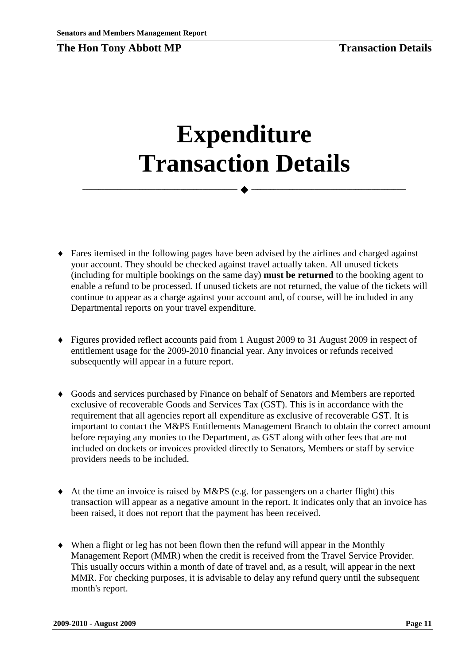# <span id="page-20-0"></span>**Expenditure Transaction Details**

 $\longrightarrow \hspace*{2em} \longrightarrow \longrightarrow \longrightarrow \longrightarrow \longrightarrow \longrightarrow$ 

- ♦ Fares itemised in the following pages have been advised by the airlines and charged against your account. They should be checked against travel actually taken. All unused tickets (including for multiple bookings on the same day) **must be returned** to the booking agent to enable a refund to be processed. If unused tickets are not returned, the value of the tickets will continue to appear as a charge against your account and, of course, will be included in any Departmental reports on your travel expenditure.
- ♦ Figures provided reflect accounts paid from 1 August 2009 to 31 August 2009 in respect of entitlement usage for the 2009-2010 financial year. Any invoices or refunds received subsequently will appear in a future report.
- ♦ Goods and services purchased by Finance on behalf of Senators and Members are reported exclusive of recoverable Goods and Services Tax (GST). This is in accordance with the requirement that all agencies report all expenditure as exclusive of recoverable GST. It is important to contact the M&PS Entitlements Management Branch to obtain the correct amount before repaying any monies to the Department, as GST along with other fees that are not included on dockets or invoices provided directly to Senators, Members or staff by service providers needs to be included.
- $\blacklozenge$  At the time an invoice is raised by M&PS (e.g. for passengers on a charter flight) this transaction will appear as a negative amount in the report. It indicates only that an invoice has been raised, it does not report that the payment has been received.
- ♦ When a flight or leg has not been flown then the refund will appear in the Monthly Management Report (MMR) when the credit is received from the Travel Service Provider. This usually occurs within a month of date of travel and, as a result, will appear in the next MMR. For checking purposes, it is advisable to delay any refund query until the subsequent month's report.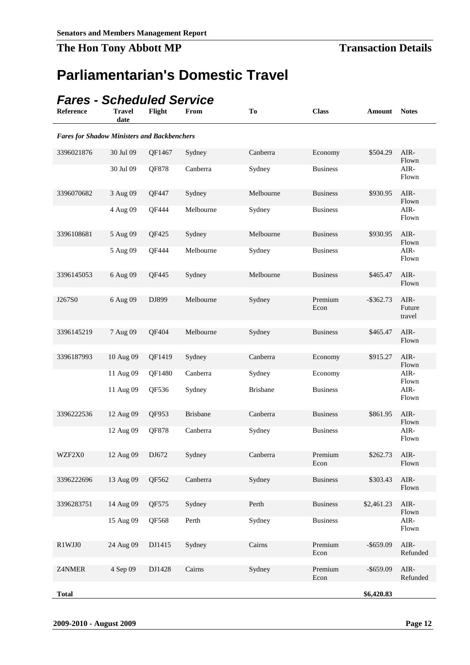## <span id="page-21-0"></span>**Parliamentarian's Domestic Travel**

## <span id="page-21-1"></span>*Fares - Scheduled Service*

| Reference    | <b>Travel</b><br>date                              | Flight | From            | To              | <b>Class</b>    | Amount       | <b>Notes</b>             |  |  |
|--------------|----------------------------------------------------|--------|-----------------|-----------------|-----------------|--------------|--------------------------|--|--|
|              | <b>Fares for Shadow Ministers and Backbenchers</b> |        |                 |                 |                 |              |                          |  |  |
| 3396021876   | 30 Jul 09                                          | QF1467 | Sydney          | Canberra        | Economy         | \$504.29     | AIR-<br>Flown            |  |  |
|              | 30 Jul 09                                          | QF878  | Canberra        | Sydney          | <b>Business</b> |              | AIR-<br>Flown            |  |  |
| 3396070682   | 3 Aug 09                                           | QF447  | Sydney          | Melbourne       | <b>Business</b> | \$930.95     | AIR-<br>Flown            |  |  |
|              | 4 Aug 09                                           | QF444  | Melbourne       | Sydney          | <b>Business</b> |              | AIR-<br>Flown            |  |  |
| 3396108681   | 5 Aug 09                                           | QF425  | Sydney          | Melbourne       | <b>Business</b> | \$930.95     | AIR-<br>Flown            |  |  |
|              | 5 Aug 09                                           | QF444  | Melbourne       | Sydney          | <b>Business</b> |              | AIR-<br>Flown            |  |  |
| 3396145053   | 6 Aug 09                                           | QF445  | Sydney          | Melbourne       | <b>Business</b> | \$465.47     | AIR-<br>Flown            |  |  |
| J267S0       | 6 Aug 09                                           | DJ899  | Melbourne       | Sydney          | Premium<br>Econ | $-$ \$362.73 | AIR-<br>Future<br>travel |  |  |
| 3396145219   | 7 Aug 09                                           | QF404  | Melbourne       | Sydney          | <b>Business</b> | \$465.47     | AIR-                     |  |  |
| 3396187993   | 10 Aug 09                                          | QF1419 | Sydney          | Canberra        | Economy         | \$915.27     | Flown<br>AIR-            |  |  |
|              | 11 Aug 09                                          | QF1480 | Canberra        | Sydney          | Economy         |              | Flown<br>AIR-            |  |  |
|              | 11 Aug 09                                          | QF536  | Sydney          | <b>Brisbane</b> | <b>Business</b> |              | Flown<br>AIR-<br>Flown   |  |  |
| 3396222536   | 12 Aug 09                                          | QF953  | <b>Brisbane</b> | Canberra        | <b>Business</b> | \$861.95     | AIR-<br>Flown            |  |  |
|              | 12 Aug 09                                          | QF878  | Canberra        | Sydney          | <b>Business</b> |              | AIR-<br>Flown            |  |  |
| WZF2X0       | 12 Aug 09                                          | DJ672  | Sydney          | Canberra        | Premium<br>Econ | \$262.73     | AIR-<br>Flown            |  |  |
| 3396222696   | 13 Aug 09                                          | QF562  | Canberra        | Sydney          | <b>Business</b> | \$303.43     | AIR-<br>Flown            |  |  |
| 3396283751   | 14 Aug 09                                          | QF575  | Sydney          | Perth           | <b>Business</b> | \$2,461.23   | AIR-                     |  |  |
|              | 15 Aug 09                                          | QF568  | Perth           | Sydney          | <b>Business</b> |              | Flown<br>AIR-<br>Flown   |  |  |
| R1WJJ0       | 24 Aug 09                                          | DJ1415 | Sydney          | Cairns          | Premium<br>Econ | $-$ \$659.09 | $AIR-$<br>Refunded       |  |  |
| Z4NMER       | 4 Sep 09                                           | DJ1428 | Cairns          | Sydney          | Premium<br>Econ | $-$ \$659.09 | AIR-<br>Refunded         |  |  |
| <b>Total</b> |                                                    |        |                 |                 |                 | \$6,420.83   |                          |  |  |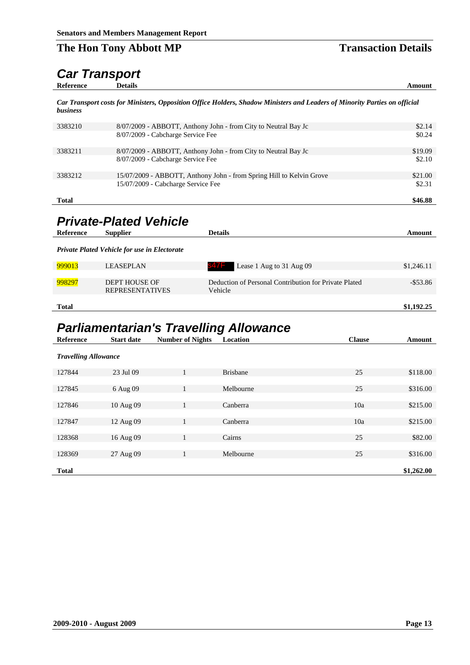## <span id="page-22-0"></span>*Car Transport*

*Car Transport costs for Ministers, Opposition Office Holders, Shadow Ministers and Leaders of Minority Parties on official business*

| 3383210      | 8/07/2009 - ABBOTT, Anthony John - from City to Neutral Bay Jc       | \$2.14  |
|--------------|----------------------------------------------------------------------|---------|
|              | 8/07/2009 - Cabcharge Service Fee                                    | \$0.24  |
| 3383211      | 8/07/2009 - ABBOTT, Anthony John - from City to Neutral Bay Jc       | \$19.09 |
|              | 8/07/2009 - Cabcharge Service Fee                                    | \$2.10  |
| 3383212      | 15/07/2009 - ABBOTT, Anthony John - from Spring Hill to Kelvin Grove | \$21.00 |
|              | 15/07/2009 - Cabcharge Service Fee                                   | \$2.31  |
| <b>Total</b> |                                                                      | \$46.88 |

## <span id="page-22-1"></span>*Private-Plated Vehicle*

| Reference    | <b>Supplier</b>                                     | <b>Details</b>                                                   | Amount      |
|--------------|-----------------------------------------------------|------------------------------------------------------------------|-------------|
|              | <b>Private Plated Vehicle for use in Electorate</b> |                                                                  |             |
| 999013       | <b>LEASEPLAN</b>                                    | Lease 1 Aug to 31 Aug 09<br>847F                                 | \$1,246.11  |
|              |                                                     |                                                                  |             |
| 998297       | <b>DEPT HOUSE OF</b><br><b>REPRESENTATIVES</b>      | Deduction of Personal Contribution for Private Plated<br>Vehicle | $-$ \$53.86 |
|              |                                                     |                                                                  |             |
| <b>Total</b> |                                                     |                                                                  | \$1,192.25  |

## <span id="page-22-2"></span>*Parliamentarian's Travelling Allowance*

| Reference                   | <b>Start date</b> | <b>Number of Nights</b> | Location        | <b>Clause</b> | Amount     |
|-----------------------------|-------------------|-------------------------|-----------------|---------------|------------|
| <b>Travelling Allowance</b> |                   |                         |                 |               |            |
| 127844                      | 23 Jul 09         | $\mathbf{1}$            | <b>Brisbane</b> | 25            | \$118.00   |
|                             |                   |                         |                 |               |            |
| 127845                      | 6 Aug 09          | 1                       | Melbourne       | 25            | \$316.00   |
|                             |                   |                         |                 |               |            |
| 127846                      | 10 Aug 09         | 1                       | Canberra        | 10a           | \$215.00   |
| 127847                      | 12 Aug 09         | 1                       | Canberra        | 10a           | \$215.00   |
|                             |                   |                         |                 |               |            |
| 128368                      | 16 Aug 09         | 1                       | Cairns          | 25            | \$82.00    |
|                             |                   |                         |                 |               |            |
| 128369                      | 27 Aug 09         | 1                       | Melbourne       | 25            | \$316.00   |
| <b>Total</b>                |                   |                         |                 |               | \$1,262.00 |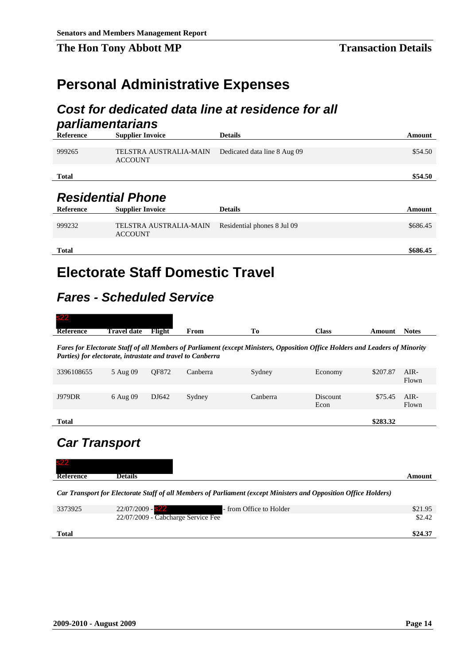## <span id="page-23-0"></span>**Personal Administrative Expenses**

## <span id="page-23-1"></span>*Cost for dedicated data line at residence for all*

<span id="page-23-2"></span>

| parliamentarians |                                          |                              |          |
|------------------|------------------------------------------|------------------------------|----------|
| <b>Reference</b> | <b>Supplier Invoice</b>                  | <b>Details</b>               | Amount   |
|                  |                                          |                              |          |
| 999265           | TELSTRA AUSTRALIA-MAIN<br><b>ACCOUNT</b> | Dedicated data line 8 Aug 09 | \$54.50  |
| <b>Total</b>     |                                          |                              | \$54.50  |
|                  |                                          |                              |          |
|                  | <b>Residential Phone</b>                 |                              |          |
| <b>Reference</b> | <b>Supplier Invoice</b>                  | <b>Details</b>               | Amount   |
|                  |                                          |                              |          |
| 999232           | TELSTRA AUSTRALIA-MAIN<br><b>ACCOUNT</b> | Residential phones 8 Jul 09  | \$686.45 |
|                  |                                          |                              |          |
| <b>Total</b>     |                                          |                              | \$686.45 |

## <span id="page-23-3"></span>**Electorate Staff Domestic Travel**

## <span id="page-23-4"></span>*Fares - Scheduled Service*

| s22              |             |        |      |                 |       |                        |
|------------------|-------------|--------|------|-----------------|-------|------------------------|
| <b>Reference</b> | Travel date | Flight | From | <b>TX</b><br>10 | Class | <b>Notes</b><br>Amount |

*Fares for Electorate Staff of all Members of Parliament (except Ministers, Opposition Office Holders and Leaders of Minority Parties) for electorate, intrastate and travel to Canberra*

| 3396108655    | 5 Aug 09 | OF872 | Canberra | Sydney   | Economy          | \$207.87 | $AIR-$<br>Flown |
|---------------|----------|-------|----------|----------|------------------|----------|-----------------|
| <b>J979DR</b> | 6 Aug 09 | DJ642 | Sydney   | Canberra | Discount<br>Econ | \$75.45  | AIR-<br>Flown   |
| <b>Total</b>  |          |       |          |          |                  | \$283.32 |                 |

## <span id="page-23-5"></span>*Car Transport*

| <b>s22</b>       |                |        |
|------------------|----------------|--------|
| <b>Reference</b> | <b>Details</b> | Amount |
|                  |                |        |

*Car Transport for Electorate Staff of all Members of Parliament (except Ministers and Opposition Office Holders)*

| 22/07/2009 - Cabcharge Service Fee | \$2.42  |
|------------------------------------|---------|
|                                    |         |
| <b>Total</b>                       | \$24.37 |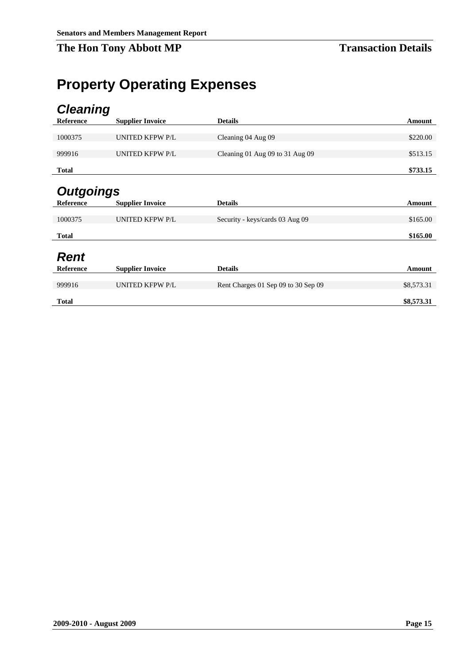## <span id="page-24-0"></span>**Property Operating Expenses**

<span id="page-24-3"></span><span id="page-24-2"></span><span id="page-24-1"></span>

| <b>Cleaning</b>  |                         |                                     |            |
|------------------|-------------------------|-------------------------------------|------------|
| Reference        | <b>Supplier Invoice</b> | <b>Details</b>                      | Amount     |
|                  |                         |                                     |            |
| 1000375          | <b>UNITED KFPW P/L</b>  | Cleaning 04 Aug 09                  | \$220.00   |
| 999916           | <b>UNITED KFPW P/L</b>  | Cleaning 01 Aug 09 to 31 Aug 09     | \$513.15   |
| <b>Total</b>     |                         |                                     | \$733.15   |
| <b>Outgoings</b> |                         |                                     |            |
| <b>Reference</b> | <b>Supplier Invoice</b> | <b>Details</b>                      | Amount     |
| 1000375          | <b>UNITED KFPW P/L</b>  | Security - keys/cards 03 Aug 09     | \$165.00   |
| <b>Total</b>     |                         |                                     | \$165.00   |
| <b>Rent</b>      |                         |                                     |            |
| Reference        | <b>Supplier Invoice</b> | <b>Details</b>                      | Amount     |
| 999916           | <b>UNITED KFPW P/L</b>  | Rent Charges 01 Sep 09 to 30 Sep 09 | \$8,573.31 |
| <b>Total</b>     |                         |                                     | \$8,573.31 |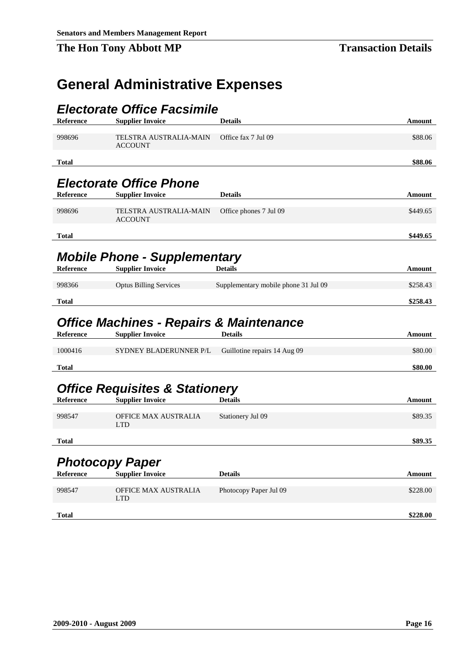## <span id="page-25-0"></span>**General Administrative Expenses**

<span id="page-25-3"></span><span id="page-25-2"></span><span id="page-25-1"></span>

|                  | <i><b>Electorate Office Facsimile</b></i>                                     |                                      |          |
|------------------|-------------------------------------------------------------------------------|--------------------------------------|----------|
| Reference        | <b>Supplier Invoice</b>                                                       | <b>Details</b>                       | Amount   |
|                  |                                                                               |                                      |          |
| 998696           | TELSTRA AUSTRALIA-MAIN<br><b>ACCOUNT</b>                                      | Office fax 7 Jul 09                  | \$88.06  |
| <b>Total</b>     |                                                                               |                                      | \$88.06  |
|                  |                                                                               |                                      |          |
|                  | <b>Electorate Office Phone</b>                                                |                                      |          |
| <b>Reference</b> | <b>Supplier Invoice</b>                                                       | <b>Details</b>                       | Amount   |
| 998696           | <b>TELSTRA AUSTRALIA-MAIN</b><br><b>ACCOUNT</b>                               | Office phones 7 Jul 09               | \$449.65 |
| <b>Total</b>     |                                                                               |                                      | \$449.65 |
|                  | <b>Mobile Phone - Supplementary</b>                                           |                                      |          |
| <b>Reference</b> | <b>Supplier Invoice</b>                                                       | <b>Details</b>                       | Amount   |
| 998366           | <b>Optus Billing Services</b>                                                 | Supplementary mobile phone 31 Jul 09 | \$258.43 |
| <b>Total</b>     |                                                                               |                                      | \$258.43 |
| <b>Reference</b> | <b>Office Machines - Repairs &amp; Maintenance</b><br><b>Supplier Invoice</b> | <b>Details</b>                       | Amount   |
|                  |                                                                               |                                      |          |
| 1000416          | SYDNEY BLADERUNNER P/L                                                        | Guillotine repairs 14 Aug 09         | \$80.00  |
| <b>Total</b>     |                                                                               |                                      | \$80.00  |

## <span id="page-25-5"></span><span id="page-25-4"></span>*Office Requisites & Stationery*

| Reference    | <b>Supplier Invoice</b>            | Details           | Amount  |
|--------------|------------------------------------|-------------------|---------|
| 998547       | OFFICE MAX AUSTRALIA<br><b>LTD</b> | Stationery Jul 09 | \$89.35 |
| <b>Total</b> |                                    |                   | \$89.35 |

## <span id="page-25-6"></span>*Photocopy Paper*

| Reference    | <b>Supplier Invoice</b>     | <b>Details</b>         | Amount   |
|--------------|-----------------------------|------------------------|----------|
| 998547       | OFFICE MAX AUSTRALIA<br>LTD | Photocopy Paper Jul 09 | \$228.00 |
| <b>Total</b> |                             |                        | \$228.00 |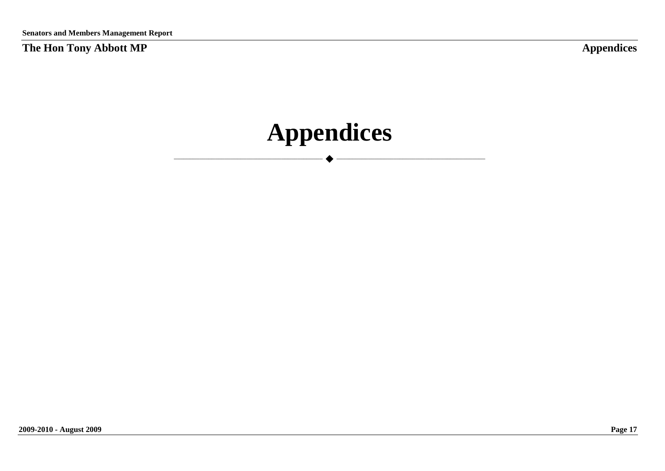**Appendices** 

<span id="page-26-0"></span>\_\_\_\_\_\_\_\_\_\_\_\_\_\_\_\_\_\_\_\_\_\_\_\_\_\_\_\_\_\_\_\_\_\_\_\_\_\_\_\_\_\_\_\_\_\_\_ \_\_\_\_\_\_\_\_\_\_\_\_\_\_\_\_\_\_\_\_\_\_\_\_\_\_\_\_\_\_\_\_\_\_\_\_\_\_\_\_\_\_\_\_\_\_\_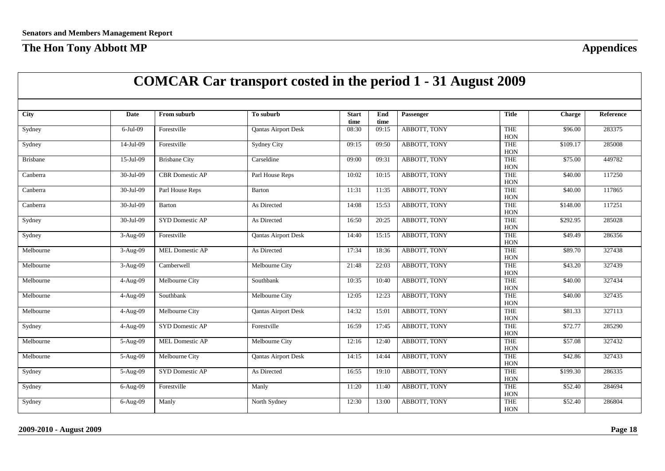<span id="page-27-0"></span>

|                 |                        |                        | <b>COMCAR Car transport costed in the period 1 - 31 August 2009</b> |                      |             |              |                            |               |           |
|-----------------|------------------------|------------------------|---------------------------------------------------------------------|----------------------|-------------|--------------|----------------------------|---------------|-----------|
|                 |                        |                        |                                                                     |                      |             |              |                            |               |           |
| <b>City</b>     | <b>Date</b>            | From suburb            | To suburb                                                           | <b>Start</b><br>time | End<br>time | Passenger    | <b>Title</b>               | <b>Charge</b> | Reference |
| Sydney          | 6-Jul-09               | Forestville            | <b>Qantas Airport Desk</b>                                          | 08:30                | 09:15       | ABBOTT, TONY | <b>THE</b><br>HON          | \$96.00       | 283375    |
| Sydney          | 14-Jul-09              | Forestville            | <b>Sydney City</b>                                                  | 09:15                | 09:50       | ABBOTT, TONY | THE<br>HON                 | \$109.17      | 285008    |
| <b>Brisbane</b> | 15-Jul-09              | <b>Brisbane City</b>   | Carseldine                                                          | 09:00                | 09:31       | ABBOTT, TONY | THE<br>HON                 | \$75.00       | 449782    |
| Canberra        | 30-Jul-09              | <b>CBR</b> Domestic AP | Parl House Reps                                                     | 10:02                | 10:15       | ABBOTT, TONY | <b>THE</b><br><b>HON</b>   | \$40.00       | 117250    |
| Canberra        | 30-Jul-09              | Parl House Reps        | Barton                                                              | 11:31                | 11:35       | ABBOTT, TONY | <b>THE</b><br>HON          | \$40.00       | 117865    |
| Canberra        | 30-Jul-09              | Barton                 | As Directed                                                         | 14:08                | 15:53       | ABBOTT, TONY | THE<br>HON                 | \$148.00      | 117251    |
| Sydney          | 30-Jul-09              | SYD Domestic AP        | As Directed                                                         | 16:50                | 20:25       | ABBOTT, TONY | <b>THE</b><br>HON          | \$292.95      | 285028    |
| Sydney          | 3-Aug-09               | Forestville            | <b>Qantas Airport Desk</b>                                          | 14:40                | 15:15       | ABBOTT, TONY | THE<br>HON                 | \$49.49       | 286356    |
| Melbourne       | 3-Aug-09               | <b>MEL Domestic AP</b> | As Directed                                                         | 17:34                | 18:36       | ABBOTT, TONY | <b>THE</b><br>HON          | \$89.70       | 327438    |
| Melbourne       | 3-Aug-09               | Camberwell             | Melbourne City                                                      | 21:48                | 22:03       | ABBOTT, TONY | <b>THE</b><br>$_{\rm HON}$ | \$43.20       | 327439    |
| Melbourne       | 4-Aug-09               | Melbourne City         | Southbank                                                           | 10:35                | 10:40       | ABBOTT, TONY | <b>THE</b><br>HON          | \$40.00       | 327434    |
| Melbourne       | 4-Aug-09               | Southbank              | Melbourne City                                                      | 12:05                | 12:23       | ABBOTT, TONY | <b>THE</b><br>HON          | \$40.00       | 327435    |
| Melbourne       | 4-Aug-09               | Melbourne City         | <b>Qantas Airport Desk</b>                                          | 14:32                | 15:01       | ABBOTT, TONY | <b>THE</b><br>HON          | \$81.33       | 327113    |
| Sydney          | 4-Aug-09               | SYD Domestic AP        | Forestville                                                         | 16:59                | 17:45       | ABBOTT, TONY | <b>THE</b><br>HON          | \$72.77       | 285290    |
| Melbourne       | 5-Aug-09               | MEL Domestic AP        | Melbourne City                                                      | 12:16                | 12:40       | ABBOTT, TONY | <b>THE</b><br>HON          | \$57.08       | 327432    |
| Melbourne       | $\overline{5}$ -Aug-09 | Melbourne City         | <b>Qantas Airport Desk</b>                                          | 14:15                | 14:44       | ABBOTT, TONY | <b>THE</b><br>HON          | \$42.86       | 327433    |
| Sydney          | 5-Aug-09               | SYD Domestic AP        | As Directed                                                         | 16:55                | 19:10       | ABBOTT, TONY | <b>THE</b><br>$_{\rm HON}$ | \$199.30      | 286335    |
| Sydney          | 6-Aug-09               | Forestville            | Manly                                                               | 11:20                | 11:40       | ABBOTT, TONY | <b>THE</b><br>HON          | \$52.40       | 284694    |
| Sydney          | $6-Aug-09$             | Manly                  | North Sydney                                                        | 12:30                | 13:00       | ABBOTT, TONY | <b>THE</b><br>HON          | \$52.40       | 286804    |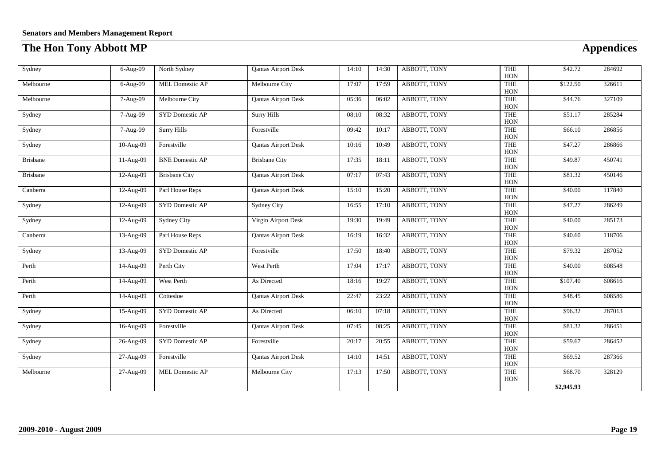| Sydney          | 6-Aug-09  | North Sydney           | <b>Qantas Airport Desk</b> | 14:10 | 14:30 | ABBOTT, TONY | <b>THE</b><br>HON                  | \$42.72    | 284692 |
|-----------------|-----------|------------------------|----------------------------|-------|-------|--------------|------------------------------------|------------|--------|
| Melbourne       | 6-Aug-09  | MEL Domestic AP        | Melbourne City             | 17:07 | 17:59 | ABBOTT, TONY | THE<br>HON                         | \$122.50   | 326611 |
| Melbourne       | 7-Aug-09  | Melbourne City         | <b>Qantas Airport Desk</b> | 05:36 | 06:02 | ABBOTT, TONY | THE<br>HON                         | \$44.76    | 327109 |
| Sydney          | 7-Aug-09  | SYD Domestic AP        | <b>Surry Hills</b>         | 08:10 | 08:32 | ABBOTT, TONY | THE<br>HON                         | \$51.17    | 285284 |
| Sydney          | 7-Aug-09  | <b>Surry Hills</b>     | Forestville                | 09:42 | 10:17 | ABBOTT, TONY | THE<br>HON                         | \$66.10    | 286856 |
| Sydney          | 10-Aug-09 | Forestville            | <b>Qantas Airport Desk</b> | 10:16 | 10:49 | ABBOTT, TONY | THE<br>HON                         | \$47.27    | 286866 |
| <b>Brisbane</b> | 11-Aug-09 | <b>BNE</b> Domestic AP | <b>Brisbane City</b>       | 17:35 | 18:11 | ABBOTT, TONY | THE<br>HON                         | \$49.87    | 450741 |
| <b>Brisbane</b> | 12-Aug-09 | <b>Brisbane City</b>   | <b>Qantas Airport Desk</b> | 07:17 | 07:43 | ABBOTT, TONY | THE<br>HON                         | \$81.32    | 450146 |
| Canberra        | 12-Aug-09 | Parl House Reps        | <b>Qantas Airport Desk</b> | 15:10 | 15:20 | ABBOTT, TONY | THE<br>HON                         | \$40.00    | 117840 |
| Sydney          | 12-Aug-09 | SYD Domestic AP        | <b>Sydney City</b>         | 16:55 | 17:10 | ABBOTT, TONY | THE<br>HON                         | \$47.27    | 286249 |
| Sydney          | 12-Aug-09 | <b>Sydney City</b>     | Virgin Airport Desk        | 19:30 | 19:49 | ABBOTT, TONY | THE<br>HON                         | \$40.00    | 285173 |
| Canberra        | 13-Aug-09 | Parl House Reps        | <b>Qantas Airport Desk</b> | 16:19 | 16:32 | ABBOTT, TONY | THE<br>HON                         | \$40.60    | 118706 |
| Sydney          | 13-Aug-09 | SYD Domestic AP        | Forestville                | 17:50 | 18:40 | ABBOTT, TONY | THE<br>HON                         | \$79.32    | 287052 |
| Perth           | 14-Aug-09 | Perth City             | West Perth                 | 17:04 | 17:17 | ABBOTT, TONY | THE<br>HON                         | \$40.00    | 608548 |
| Perth           | 14-Aug-09 | West Perth             | As Directed                | 18:16 | 19:27 | ABBOTT, TONY | THE<br>HON                         | \$107.40   | 608616 |
| Perth           | 14-Aug-09 | Cottesloe              | <b>Qantas Airport Desk</b> | 22:47 | 23:22 | ABBOTT, TONY | THE<br>HON                         | \$48.45    | 608586 |
| Sydney          | 15-Aug-09 | SYD Domestic AP        | As Directed                | 06:10 | 07:18 | ABBOTT, TONY | THE<br>HON                         | \$96.32    | 287013 |
| Sydney          | 16-Aug-09 | Forestville            | <b>Qantas Airport Desk</b> | 07:45 | 08:25 | ABBOTT, TONY | THE<br>HON                         | \$81.32    | 286451 |
| Sydney          | 26-Aug-09 | SYD Domestic AP        | Forestville                | 20:17 | 20:55 | ABBOTT, TONY | <b>THE</b><br>HON                  | \$59.67    | 286452 |
| Sydney          | 27-Aug-09 | Forestville            | <b>Qantas Airport Desk</b> | 14:10 | 14:51 | ABBOTT, TONY | $\ensuremath{\mathsf{THE}}$<br>HON | \$69.52    | 287366 |
| Melbourne       | 27-Aug-09 | MEL Domestic AP        | Melbourne City             | 17:13 | 17:50 | ABBOTT, TONY | THE<br>HON                         | \$68.70    | 328129 |
|                 |           |                        |                            |       |       |              |                                    | \$2,945.93 |        |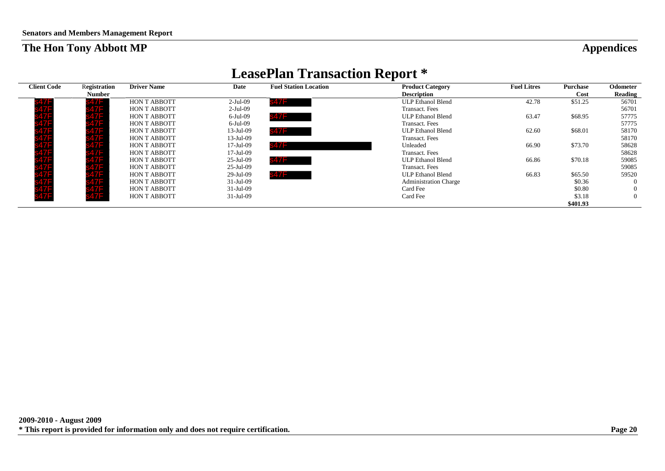## **LeasePlan Transaction Report \***

<span id="page-29-0"></span>

| <b>Client Code</b> | Registration  | <b>Driver Name</b>  | Date         | <b>Fuel Station Location</b> | <b>Product Category</b>      | <b>Fuel Litres</b> | Purchase | <b>Odometer</b> |
|--------------------|---------------|---------------------|--------------|------------------------------|------------------------------|--------------------|----------|-----------------|
|                    | <b>Number</b> |                     |              |                              | <b>Description</b>           |                    | Cost     | Reading         |
|                    |               | HON T ABBOTT        | $2-Jul-09$   | 847F.                        | <b>ULP Ethanol Blend</b>     | 42.78              | \$51.25  | 56701           |
|                    |               | <b>HON T ABBOTT</b> | $2-Jul-09$   |                              | <b>Transact.</b> Fees        |                    |          | 56701           |
|                    |               | <b>HON T ABBOTT</b> | 6-Jul-09     | s47F i                       | <b>ULP Ethanol Blend</b>     | 63.47              | \$68.95  | 57775           |
|                    |               | <b>HON T ABBOTT</b> | $6$ -Jul-09  |                              | Transact. Fees               |                    |          | 57775           |
|                    |               | <b>HON T ABBOTT</b> | $13$ -Jul-09 | s47F -                       | <b>ULP Ethanol Blend</b>     | 62.60              | \$68.01  | 58170           |
|                    |               | <b>HON T ABBOTT</b> | $13$ -Jul-09 |                              | Transact. Fees               |                    |          | 58170           |
|                    |               | <b>HON T ABBOTT</b> | $17$ -Jul-09 |                              | Unleaded                     | 66.90              | \$73.70  | 58628           |
|                    |               | <b>HON T ABBOTT</b> | $17$ -Jul-09 |                              | Transact. Fees               |                    |          | 58628           |
|                    |               | <b>HON T ABBOTT</b> | $25$ -Jul-09 | <b>s47F</b>                  | <b>ULP Ethanol Blend</b>     | 66.86              | \$70.18  | 59085           |
|                    |               | <b>HON T ABBOTT</b> | $25$ -Jul-09 |                              | Transact. Fees               |                    |          | 59085           |
|                    |               | <b>HON T ABBOTT</b> | 29-Jul-09    | s47F                         | <b>ULP Ethanol Blend</b>     | 66.83              | \$65.50  | 59520           |
|                    |               | <b>HON T ABBOTT</b> | $31$ -Jul-09 |                              | <b>Administration Charge</b> |                    | \$0.36   | $\Omega$        |
|                    |               | <b>HON T ABBOTT</b> | $31$ -Jul-09 |                              | Card Fee                     |                    | \$0.80   | $\overline{0}$  |
|                    |               | <b>HON T ABBOTT</b> | $31$ -Jul-09 |                              | Card Fee                     |                    | \$3.18   | $\left($        |
|                    |               |                     |              |                              |                              |                    | \$401.93 |                 |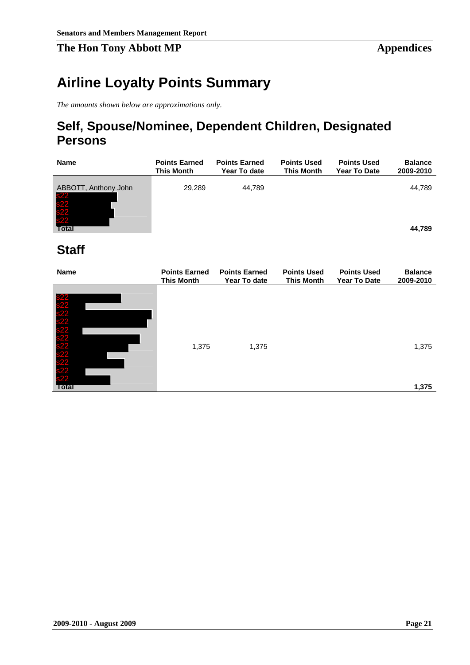## <span id="page-30-0"></span>**Airline Loyalty Points Summary**

*The amounts shown below are approximations only.*

## **Self, Spouse/Nominee, Dependent Children, Designated Persons**

| <b>Name</b>                                      | <b>Points Earned</b><br><b>This Month</b> | <b>Points Earned</b><br>Year To date | <b>Points Used</b><br><b>This Month</b> | <b>Points Used</b><br><b>Year To Date</b> | <b>Balance</b><br>2009-2010 |
|--------------------------------------------------|-------------------------------------------|--------------------------------------|-----------------------------------------|-------------------------------------------|-----------------------------|
| ABBOTT, Anthony John<br>s22<br>s22<br>s22<br>s22 | 29,289                                    | 44,789                               |                                         |                                           | 44,789                      |
| Total                                            |                                           |                                      |                                         |                                           | 44,789                      |

## **Staff**

| <b>Name</b>                                         | <b>Points Earned</b><br><b>This Month</b> | <b>Points Earned</b><br>Year To date | <b>Points Used</b><br><b>This Month</b> | <b>Points Used</b><br><b>Year To Date</b> | <b>Balance</b><br>2009-2010 |
|-----------------------------------------------------|-------------------------------------------|--------------------------------------|-----------------------------------------|-------------------------------------------|-----------------------------|
|                                                     |                                           |                                      |                                         |                                           |                             |
|                                                     |                                           |                                      |                                         |                                           |                             |
|                                                     |                                           |                                      |                                         |                                           |                             |
|                                                     |                                           |                                      |                                         |                                           |                             |
|                                                     |                                           |                                      |                                         |                                           |                             |
|                                                     | 1,375                                     | 1,375                                |                                         |                                           | 1,375                       |
| s22<br>s222<br>s222<br>s222<br>s222<br>s222<br>s222 |                                           |                                      |                                         |                                           |                             |
|                                                     |                                           |                                      |                                         |                                           |                             |
|                                                     |                                           |                                      |                                         |                                           |                             |
| <b>Total</b>                                        |                                           |                                      |                                         |                                           | 1,375                       |